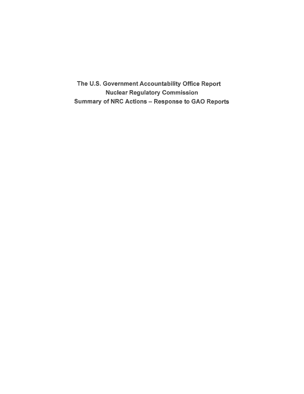The U.S. Government Accountability Office Report Nuclear Regulatory Commission Summary of NRC Actions - Response to GAO Reports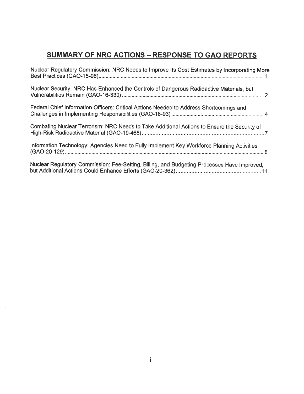# **SUMMARY OF NRC ACTIONS - RESPONSE TO GAO REPORTS**

| Nuclear Regulatory Commission: NRC Needs to Improve Its Cost Estimates by Incorporating More |
|----------------------------------------------------------------------------------------------|
| Nuclear Security: NRC Has Enhanced the Controls of Dangerous Radioactive Materials, but      |
| Federal Chief Information Officers: Critical Actions Needed to Address Shortcomings and      |
| Combating Nuclear Terrorism: NRC Needs to Take Additional Actions to Ensure the Security of  |
| Information Technology: Agencies Need to Fully Implement Key Workforce Planning Activities   |
| Nuclear Regulatory Commission: Fee-Setting, Billing, and Budgeting Processes Have Improved,  |

 $\vec{h}$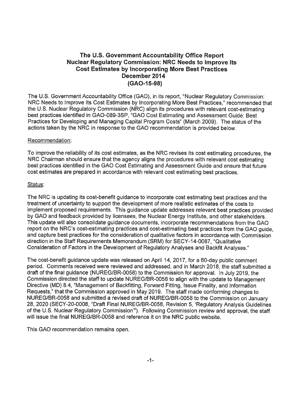# **The U.S. Government Accountability Office Report Nuclear Regulatory Commission: NRC Needs to Improve Its Cost Estimates by Incorporating More Best Practices December 2014 (GA0-15-98)**

The U.S. Government Accountability Office (GAO), in its report, "Nuclear Regulatory Commission: NRC Needs to Improve Its Cost Estimates by Incorporating More Best Practices," recommended that the U.S. Nuclear Regulatory Commission (NRC) align its procedures with relevant cost-estimating best practices identified in GAO-089-3SP, "GAO Cost Estimating and Assessment Guide: Best Practices for Developing and Managing Capital Program Costs" (March 2009). The status of the actions taken by the NRC in response to the GAO recommendation is provided below.

#### Recommendation:

To improve the reliability of its cost estimates, as the NRC revises its cost estimating procedures, the NRC Chairman should ensure that the agency aligns the procedures with relevant cost estimating best practices identified in the GAO Cost Estimating and Assessment Guide and ensure that future cost estimates are prepared in accordance with relevant cost estimating best practices.

#### Status:

The NRC is updating its cost-benefit guidance to incorporate cost estimating best practices and the treatment of uncertainty to support the development of more realistic estimates of the costs to implement proposed requirements. This guidance update addresses relevant best practices provided by GAO and feedback provided by licensees, the Nuclear Energy Institute, and other stakeholders. This update will also consolidate guidance documents, incorporate recommendations from the GAO report on the NRC's cost-estimating practices and cost-estimating best practices from the GAO guide, and capture best practices for the consideration of qualitative factors in accordance with Commission direction in the Staff Requirements Memorandum (SRM) for SECY-14-0087, "Qualitative Consideration of Factors in the Development of Regulatory Analyses and Backfit Analyses."

The cost-benefit guidance update was released on April 14, 2017, for a 60-day public comment period. Comments received were reviewed and addressed, and in March 2018, the staff submitted a draft of the final guidance (NUREG/BR-0058) to the Commission for approval. In July 2019, the Commission directed the staff to update NUREG/BR-0058 to align with the update to Management Directive (MD) 8.4, "Management of Backfitting, Forward Fitting, Issue Finality, and Information Requests," that the Commission approved in May 2019. The staff made conforming changes to NUREG/BR-0058 and submitted a revised draft of NUREG/BR-0058 to the Commission on January 28, 2020 (SECY-20-0008, "Draft Final NUREG/BR-0058, Revision 5, 'Regulatory Analysis Guidelines of the U.S. Nuclear Regulatory Commission"'). Following Commission review and approval, the staff will issue the final NUREG/BR-0058 and reference it on the NRC public website.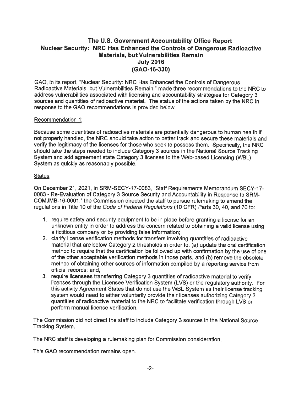# **The U.S. Government Accountability Office Report Nuclear Security: NRC Has Enhanced the Controls of Dangerous Radioactive Materials, but Vulnerabilities Remain July 2016 (GAO-16-330)**

GAO, in its report, "Nuclear Security: NRC Has Enhanced the Controls of Dangerous Radioactive Materials, but Vulnerabilities Remain," made three recommendations to the NRC to address vulnerabilities associated with licensing and accountability strategies for Category 3 sources and quantities of radioactive material. The status of the actions taken by the NRC in response to the GAO recommendations is provided below.

#### Recommendation 1:

Because some quantities of radioactive materials are potentially dangerous to human health if not properly handled, the NRC should take action to better track and secure these materials and verify the legitimacy of the licenses for those who seek to possess them. Specifically, the NRC should take the steps needed to include Category 3 sources in the National Source Tracking System and add agreement state Category 3 licenses to the Web-based Licensing (WBL) System as quickly as reasonably possible.

#### Status:

On December 21, 2021, in SRM-SECY-17-0083, "Staff Requirements Memorandum SECY-17- 0083 - Re-Evaluation of Category 3 Source Security and Accountability in Response to SRM-COMJMB-16-0001," the Commission directed the staff to pursue rulemaking to amend the regulations in Title 10 of the Code of Federal Regulations (10 CFR) Parts 30, 40, and 70 to:

- 1. require safety and security equipment to be in place before granting a license for an unknown entity in order to address the concern related to obtaining a valid license using a fictitious company or by providing false information;
- 2. clarify license verification methods for transfers involving quantities of radioactive material that are below Category 2 thresholds in order to: (a) update the oral certification method to require that the certification be followed up with confirmation by the use of one of the other acceptable verification methods in those parts, and (b) remove the obsolete method of obtaining other sources of information compiled by a reporting service from official records; and,
- 3. require licensees transferring Category 3 quantities of radioactive material to verify licenses through the Licensee Verification System (LVS) or the regulatory authority. For this activity Agreement States that do not use the WBL System as their license tracking system would need to either voluntarily provide their licenses authorizing Category 3 quantities of radioactive material to the NRC to facilitate verification through LVS or perform manual license verification.

The Commission did not direct the staff to include Category 3 sources in the National Source Tracking System.

The NRC staff is developing a rulemaking plan for Commission consideration.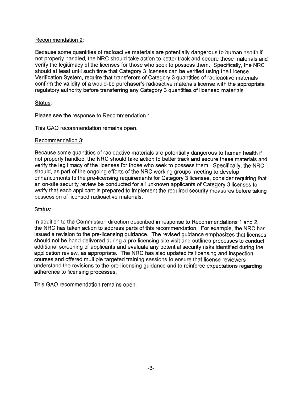### Recommendation 2:

Because some quantities of radioactive materials are potentially dangerous to human health if not properly handled, the NRC should take action to better track and secure these materials and verify the legitimacy of the licenses for those who seek to possess them. Specifically, the NRC should at least until such time that Category 3 licenses can be verified using the License Verification System, require that transferors of Category 3 quantities of radioactive materials confirm the validity of a would-be purchaser's radioactive materials license with the appropriate regulatory authority before transferring any Category 3 quantities of licensed materials.

# Status:

Please see the response to Recommendation 1.

This GAO recommendation remains open.

#### Recommendation 3:

Because some quantities of radioactive materials are potentially dangerous to human health if not properly handled, the NRC should take action to better track and secure these materials and verify the legitimacy of the licenses for those who seek to possess them. Specifically, the NRC should, as part of the ongoing efforts of the NRC working groups meeting to develop enhancements to the pre-licensing requirements for Category 3 licenses, consider requiring that an on-site security review be conducted for all unknown applicants of Category 3 licenses to verify that each applicant is prepared to implement the required security measures before taking possession of licensed radioactive materials.

# Status:

In addition to the Commission direction described in response to Recommendations 1 and 2, the NRC has taken action to address parts of this recommendation. For example, the NRC has issued a revision to the pre-licensing guidance. The revised guidance emphasizes that licenses should not be hand-delivered during a pre-licensing site visit and outlines processes to conduct additional screening of applicants and evaluate any potential security risks identified during the application review, as appropriate. The NRC has also updated its licensing and inspection courses and offered multiple targeted training sessions to ensure that license reviewers understand the revisions to the pre-licensing guidance and to reinforce expectations regarding adherence to licensing processes.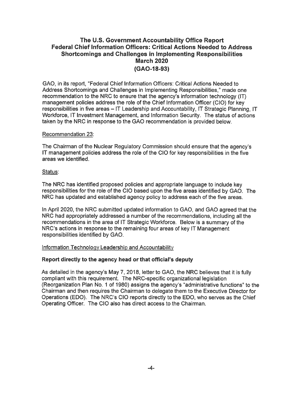# **The U.S. Government Accountability Office Report Federal Chief Information Officers: Critical Actions Needed to Address Shortcomings and Challenges in Implementing Responsibilities March 2020 (GAO-18-93)**

GAO, in its report, "Federal Chief Information Officers: Critical Actions Needed to Address Shortcomings and Challenges in Implementing Responsibilities," made one recommendation to the NRC to ensure that the agency's information technology (IT) management policies address the role of the Chief Information Officer (CIO) for key responsibilities in five areas - IT Leadership and Accountability, IT Strategic Planning, IT Workforce, IT Investment Management, and Information Security. The status of actions taken by the NRC in response to the GAO recommendation is provided below.

#### Recommendation 23:

The Chairman of the Nuclear Regulatory Commission should ensure that the agency's IT management policies address the role of the CIO for key responsibilities in the five areas we identified.

# Status:

The NRC has identified proposed policies and appropriate language to include key responsibilities for the role of the CIO based upon the five areas identified by GAO. The NRC has updated and established agency policy to address each of the five areas.

In April 2020, the NRC submitted updated information to GAO, and GAO agreed that the NRC had appropriately addressed a number of the recommendations, including all the recommendations in the area of IT Strategic Workforce. Below is a summary of the NRC's actions in response to the remaining four areas of key IT Management responsibilities identified by GAO.

# Information Technology Leadership and Accountability

#### **Report directly to the agency head or that official's deputy**

As detailed in the agency's May 7, 2018, letter to GAO, the NRC believes that it is fully compliant with this requirement. The NRC-specific organizational legislation (Reorganization Plan No. 1 of 1980) assigns the agency's "administrative functions" to the Chairman and then requires the Chairman to delegate them to the Executive Director for Operations (EDO). The NRC's CIO reports directly to the EDO, who serves as the Chief Operating Officer. The CIO also has direct access to the Chairman.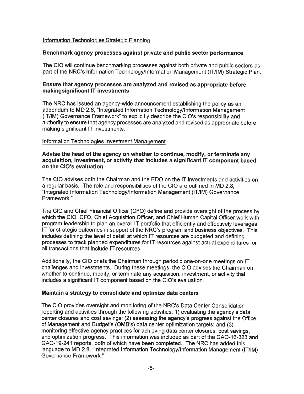# Information Technologies Strategic Planning

#### **Benchmark agency processes against private and public sector performance**

The CIO will continue benchmarking processes against both private and public sectors as part of the **NRC's** Information Technology/Information Management (IT/IM) Strategic Plan.

#### **Ensure that agency processes are analyzed and revised as appropriate before makingsignificant IT investments**

The NRC has issued an agency-wide announcement establishing the policy as an addendum to MD 2.8, "Integrated Information Technology/Information Management (IT/IM) Governance Framework" to explicitly describe the CIO's responsibility and authority to ensure that agency processes are analyzed and revised as appropriate before making significant IT investments.

#### Information Technologies Investment Management

#### **Advise the head of the agency on whether to continue, modify, or terminate any acquisition, investment, or activity that includes a significant IT component based on the CIO's evaluation**

The CIO advises both the Chairman and the EDO on the IT investments and activities on a regular basis. The role and responsibilities of the CIO are outlined in MD 2.8, "Integrated Information Technology/Information Management (IT/IM) Governance Framework."

The CIO and Chief Financial Officer (CFO) define and provide oversight of the process by which the CIO, CFO, Chief Acquisition Officer, and Chief Human Capital Officer work with program leadership to plan an overall IT portfolio that efficiently and effectively leverages IT for strategic outcomes in support of the NRC's program and business objectives. This includes defining the level of detail at which IT resources are budgeted and defining processes to track planned expenditures for IT resources against actual expenditures for all transactions that include IT resources.

Additionally, the CIO briefs the Chairman through periodic one-on-one meetings on IT challenges and investments. During these meetings, the CIO advises the Chairman on whether to continue, modify, or terminate any acquisition, investment, or activity that includes a significant IT component based on the CIO's evaluation.

#### **Maintain a strategy to consolidate and optimize data centers**

The CIO provides oversight and monitoring of the NRC's Data Center Consolidation reporting and activities through the following activities: 1) evaluating the agency's data center closures and cost savings; (2) assessing the agency's progress against the Office of Management and Budget's (OMB's) data center optimization targets; and (3) monitoring effective agency practices for achieving data center closures, cost savings, and optimization progress. This information was included as part of the GAO-16-323 and GAO-19-241 reports, both of which have been completed. The NRC has added this language to MD 2.8, "Integrated Information Technology/Information Management (IT/IM) Governance Framework."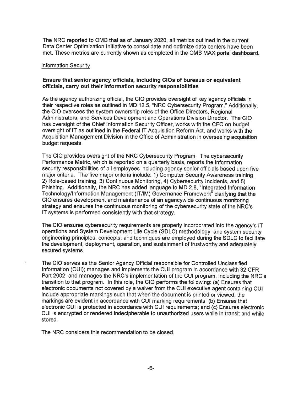The NRC reported to 0MB that as of January 2020, all metrics outlined in the current Data Center Optimization Initiative to consolidate and optimize data centers have been met. These metrics are currently shown as completed in the 0MB MAX portal dashboard.

#### Information Security

#### **Ensure that senior agency officials, including CIOs of bureaus or equivalent officials, carry out their information security responsibilities**

As the agency authorizing official, the CIO provides oversight of key agency officials in their respective roles as outlined in MD 12.5, "NRC Cybersecurity Program." Additionally, the CIO oversees the system ownership roles of the Office Directors, Regional Administrators, and Services Development and Operations Division Director. The CIO has oversight of the Chief Information Security Officer, works with the CFO on budget oversight of IT as outlined in the Federal IT Acquisition Reform Act, and works with the Acquisition Management Division in the Office of Administration in overseeing acquisition budget requests.

The CIO provides oversight of the NRC Cybersecurity Program. The cybersecurity Performance Metric, which is reported on a quarterly basis, reports the information security responsibilities of all employees including agency senior officials based upon five major criteria. The five major criteria include: 1) Computer Security Awareness training, 2) Role-based training, 3) Continuous Monitoring, 4) Cybersecurity Incidents, and 5) Phishing. Additionally, the NRC has added language to MD 2.8, "Integrated Information Technology/Information Management (IT/IM) Governance Framework" clarifying that the CIO ensures development and maintenance of an agencywide continuous monitoring strategy and ensures the continuous monitoring of the cybersecurity state of the NRC's IT systems is performed consistently with that strategy.

The CIO ensures cybersecurity requirements are properly incorporated into the agency's IT operations and System Development Life Cycle (SDLC) methodology, and system security engineering principles, concepts, and techniques are employed during the SDLC to facilitate the development, deployment, operation, and sustainment of trustworthy and adequately secured systems.

The CIO serves as the Senior Agency Official responsible for Controlled Unclassified Information (CUI); manages and implements the CUI program in accordance with 32 CFR Part 2002; and manages the NRC's implementation of the CUI program, including the NRC's transition to that program. In this role, the CIO performs the following: (a) Ensures that electronic documents not covered by a waiver from the CUI executive agent containing CUI include appropriate markings such that when the document is printed or viewed, the markings are evident in accordance with CUI marking requirements; (b) Ensures that electronic CUI is protected in accordance with CUI requirements; and (c) Ensures electronic CUI is encrypted or rendered indecipherable to unauthorized users while in transit and while stored.

The NRC considers this recommendation to be closed.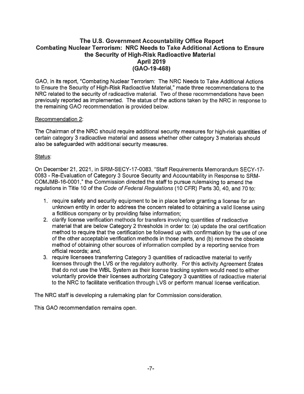# **The U.S. Government Accountability Office Report Combating Nuclear Terrorism: NRC Needs to Take Additional Actions to Ensure the Security of High-Risk Radioactive Material April 2019 (GA0-19-468)**

GAO, in its report, "Combating Nuclear Terrorism: The NRC Needs to Take Additional Actions to Ensure the Security of High-Risk Radioactive Material," made three recommendations to the NRC related to the security of radioactive material. Two of these recommendations have been previously reported as implemented. The status of the actions taken by the NRC in response to the remaining GAO recommendation is provided below.

#### Recommendation 2:

The Chairman of the NRC should require additional security measures for high-risk quantities of certain category 3 radioactive material and **assess** whether other category 3 materials should also be safeguarded with additional security measures.

#### Status:

On December 21, 2021, in SRM-SECY-17-0083, "Staff Requirements Memorandum SECY-17- 0083 - Re-Evaluation of Category 3 Source Security and Accountability in Response to SRM-COMJMB-16-0001," the Commission directed the staff to pursue rulemaking to amend the regulations in Title 10 of the Code of Federal Regulations (10 CFR) Parts 30, 40, and 70 to:

- 1. require safety and security equipment to be in place before granting a license for an unknown entity in order to address the concern related to obtaining a valid license using a fictitious company or by providing false information;
- 2. clarify license verification methods for transfers involving quantities of radioactive material that are below Category 2 thresholds in order to: (a) update the oral certification method to require that the certification be followed up with confirmation by the use of one of the other acceptable verification methods in those parts, and (b) remove the obsolete method of obtaining other sources of information compiled by a reporting service from official records; and,
- 3. require licensees transferring Category 3 quantities of radioactive material to verify licenses through the LVS or the regulatory authority. For this activity Agreement States that do not use the WBL System as their license tracking system would need to either voluntarily provide their licenses authorizing Category 3 quantities of radioactive material to the NRC to facilitate verification through LVS or perform manual license verification.

The NRC staff is developing a rulemaking plan for Commission consideration.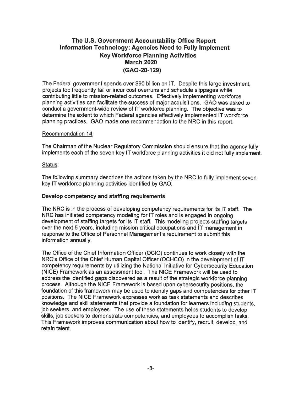# **The U.S. Government Accountability Office Report Information Technology: Agencies Need to Fully Implement Key Workforce Planning Activities March 2020 (GAO-20-129)**

The Federal government spends over \$90 billion on IT. Despite this large investment, projects too frequently fail or incur cost overruns and schedule slippages while contributing little to mission-related outcomes. Effectively implementing workforce planning activities can facilitate the success of major acquisitions. GAO was asked to conduct a government-wide review of IT workforce planning. The objective was to determine the extent to which Federal agencies effectively implemented IT workforce planning practices. GAO made one recommendation to the NRC in this report.

#### Recommendation 14:

The Chairman of the Nuclear Regulatory Commission should ensure that the agency fully implements each of the seven key IT workforce planning activities it did not fully implement.

#### Status:

The following summary describes the actions taken by the NRC to fully implement seven key IT workforce planning activities identified by GAO.

# **Develop competency and staffing requirements**

The NRC is in the process of developing competency requirements for its IT staff. The NRC has initiated competency modeling for IT roles and is engaged in ongoing development of staffing targets for its IT staff. This modeling projects staffing targets over the next 5 years, including mission critical occupations and IT management in response to the Office of Personnel Management's requirement to submit this information annually.

The Office of the Chief Information Officer (OCIO) continues to work closely with the **NRC's** Office of the Chief Human Capital Officer (OCHCO) in the development of IT competency requirements by utilizing the National Initiative for Cybersecurity Education (NICE) Framework as an assessment tool. The NICE Framework will be used to address the identified gaps discovered as a result of the strategic workforce planning process. Although the NICE Framework is based upon cybersecurity positions, the foundation of this framework may be used to identify gaps and competencies for other IT positions. The NICE Framework expresses work as task statements and describes knowledge and skill statements that provide a foundation for learners including students, job seekers, and employees. The use of these statements helps students to develop skills, job seekers to demonstrate competencies, and employees to accomplish tasks. This Framework improves communication about how to identify, recruit, develop, and retain talent.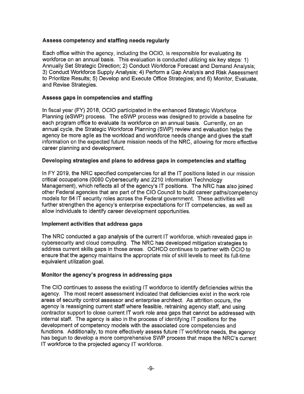### **Assess competency and staffing needs regularly**

Each office within the agency, including the OCIO, is responsible for evaluating its workforce on an annual basis. This evaluation is conducted utilizing six key steps: 1) Annually Set Strategic Direction; 2) Conduct Workforce Forecast and Demand Analysis; 3) Conduct Workforce Supply Analysis; 4) Perform a Gap Analysis and Risk Assessment to Prioritize Results; 5) Develop and Execute Office Strategies; and 6) Monitor, Evaluate, and Revise Strategies.

# **Assess gaps in competencies and staffing**

In fiscal year (FY) 2018, OCIO participated in the enhanced Strategic Workforce Planning (eSWP) process. The eSWP process was designed to provide a baseline for each program office to evaluate its workforce on an annual basis. Currently, on an annual cycle, the Strategic Workforce Planning (SWP) review and evaluation helps the agency be more agile as the workload and workforce needs change and gives the staff information on the expected future mission needs of the NRC, allowing for more effective career planning and development.

# **Developing strategies and plans to address gaps in competencies and staffing**

In FY 2019, the NRC specified competencies for all the IT positions listed in our mission critical occupations (0080 Cybersecurity and 2210 Information Technology Management), which reflects all of the agency's IT positions. The NRC has also joined other Federal agencies that are part of the CIO Council to build career paths/competency models for 64 IT security roles across the Federal government. These activities will further strengthen the agency's enterprise expectations for IT competencies, as well as allow individuals to identify career development opportunities.

#### **Implement activities that address gaps**

The NRC conducted a gap analysis of the current IT workforce, which revealed gaps in cybersecurity and cloud computing. The NRC has developed mitigation strategies to address current skills gaps in those areas. OCHCO continues to partner with OCIO to ensure that the agency maintains the appropriate mix of skill levels to meet its full-time equivalent utilization goal.

# **Monitor the agency's progress in addressing gaps**

The CIO continues to assess the existing IT workforce to identify deficiencies within the agency. The most recent assessment indicated that deficiencies exist in the work role areas of security control assessor and enterprise architect. As attrition occurs, the agency is reassigning current staff where feasible, retraining agency staff, and using contractor support to close current IT work role area gaps that cannot be addressed with internal staff. The agency is also in the process of identifying IT positions for the development of competency models with the associated core competencies and functions. Additionally, to more effectively assess future IT workforce needs, the agency has begun to develop a more comprehensive SWP process that maps the NRC's current IT workforce to the projected agency IT workforce.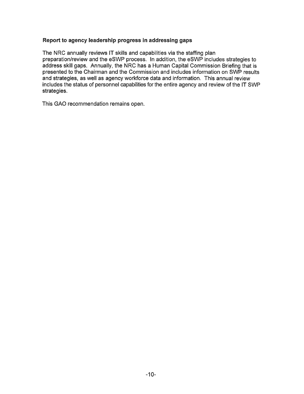#### **Report to agency leadership progress in addressing gaps**

The NRC annually reviews IT skills and capabilities via the staffing plan preparation/review and the eSWP process. In addition, the eSWP includes strategies to address skill gaps. Annually, the NRC has a Human Capital Commission Briefing that is presented to the Chairman and the Commission and includes information on SWP results and strategies, as well as agency workforce data and information. This annual review includes the status of personnel capabilities for the entire agency and review of the IT SWP strategies.